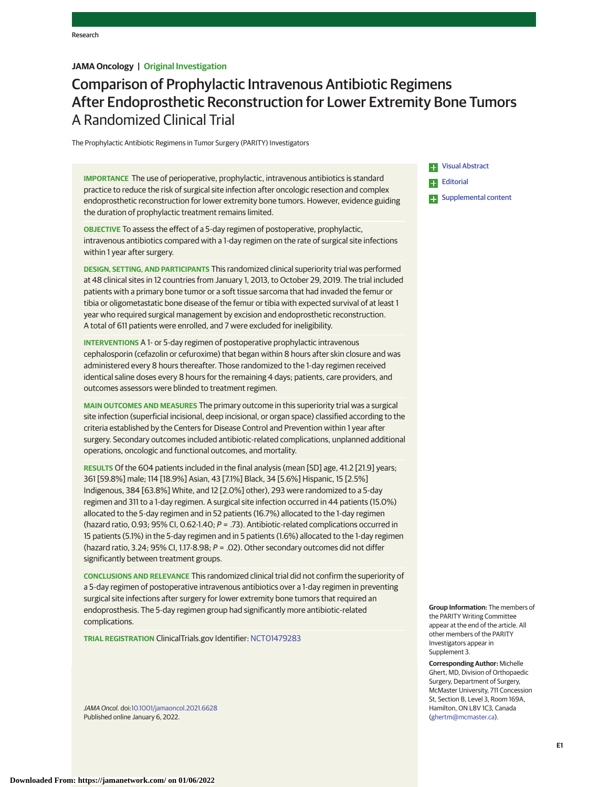# **JAMA Oncology | Original Investigation**

# Comparison of Prophylactic Intravenous Antibiotic Regimens After Endoprosthetic Reconstruction for Lower Extremity Bone Tumors A Randomized Clinical Trial

The Prophylactic Antibiotic Regimens in Tumor Surgery (PARITY) Investigators

**IMPORTANCE** The use of perioperative, prophylactic, intravenous antibiotics is standard practice to reduce the risk of surgical site infection after oncologic resection and complex endoprosthetic reconstruction for lower extremity bone tumors. However, evidence guiding the duration of prophylactic treatment remains limited.

**OBJECTIVE** To assess the effect of a 5-day regimen of postoperative, prophylactic, intravenous antibiotics compared with a 1-day regimen on the rate of surgical site infections within 1 year after surgery.

**DESIGN, SETTING, AND PARTICIPANTS** This randomized clinical superiority trial was performed at 48 clinical sites in 12 countries from January 1, 2013, to October 29, 2019. The trial included patients with a primary bone tumor or a soft tissue sarcoma that had invaded the femur or tibia or oligometastatic bone disease of the femur or tibia with expected survival of at least 1 year who required surgical management by excision and endoprosthetic reconstruction. A total of 611 patients were enrolled, and 7 were excluded for ineligibility.

**INTERVENTIONS** A 1- or 5-day regimen of postoperative prophylactic intravenous cephalosporin (cefazolin or cefuroxime) that began within 8 hours after skin closure and was administered every 8 hours thereafter. Those randomized to the 1-day regimen received identical saline doses every 8 hours for the remaining 4 days; patients, care providers, and outcomes assessors were blinded to treatment regimen.

**MAIN OUTCOMES AND MEASURES** The primary outcome in this superiority trial was a surgical site infection (superficial incisional, deep incisional, or organ space) classified according to the criteria established by the Centers for Disease Control and Prevention within 1 year after surgery. Secondary outcomes included antibiotic-related complications, unplanned additional operations, oncologic and functional outcomes, and mortality.

**RESULTS** Of the 604 patients included in the final analysis (mean [SD] age, 41.2 [21.9] years; 361 [59.8%] male; 114 [18.9%] Asian, 43 [7.1%] Black, 34 [5.6%] Hispanic, 15 [2.5%] Indigenous, 384 [63.8%] White, and 12 [2.0%] other), 293 were randomized to a 5-day regimen and 311 to a 1-day regimen. A surgical site infection occurred in 44 patients (15.0%) allocated to the 5-day regimen and in 52 patients (16.7%) allocated to the 1-day regimen (hazard ratio, 0.93; 95% CI, 0.62-1.40; P = .73). Antibiotic-related complications occurred in 15 patients (5.1%) in the 5-day regimen and in 5 patients (1.6%) allocated to the 1-day regimen (hazard ratio, 3.24; 95% CI, 1.17-8.98;  $P = .02$ ). Other secondary outcomes did not differ significantly between treatment groups.

**CONCLUSIONS AND RELEVANCE** This randomized clinical trial did not confirm the superiority of a 5-day regimen of postoperative intravenous antibiotics over a 1-day regimen in preventing surgical site infections after surgery for lower extremity bone tumors that required an endoprosthesis. The 5-day regimen group had significantly more antibiotic-related complications.

**TRIAL REGISTRATION** ClinicalTrials.gov Identifier: [NCT01479283](https://clinicaltrials.gov/ct2/show/NCT01479283)

JAMA Oncol. doi[:10.1001/jamaoncol.2021.6628](https://jamanetwork.com/journals/jama/fullarticle/10.1001/jamaoncol.2021.6628?utm_campaign=articlePDF%26utm_medium=articlePDFlink%26utm_source=articlePDF%26utm_content=jamaoncol.2021.6628) Published online January 6, 2022.

#### [Visual Abstract](https://jamanetwork.com/journals/jama/fullarticle/10.1001/jamaoncol.2021.6628?utm_campaign=articlePDF%26utm_medium=articlePDFlink%26utm_source=articlePDF%26utm_content=jamaoncol.2021.6628)  $+$ [Editorial](https://jamanetwork.com/journals/jama/fullarticle/10.1001/jamaoncol.2021.6619?utm_campaign=articlePDF%26utm_medium=articlePDFlink%26utm_source=articlePDF%26utm_content=jamaoncol.2021.6628)  $\pm$ [Supplemental content](https://jamanetwork.com/journals/onc/fullarticle/10.1001/jamaoncol.2021.6628?utm_campaign=articlePDF%26utm_medium=articlePDFlink%26utm_source=articlePDF%26utm_content=jamaoncol.2021.6628)

**Group Information:** The members of the PARITY Writing Committee appear at the end of the article. All other members of the PARITY Investigators appear in Supplement 3.

**Corresponding Author:** Michelle Ghert, MD, Division of Orthopaedic Surgery, Department of Surgery, McMaster University, 711 Concession St, Section B, Level 3, Room 169A, Hamilton, ON L8V 1C3, Canada [\(ghertm@mcmaster.ca\)](mailto:ghertm@mcmaster.ca).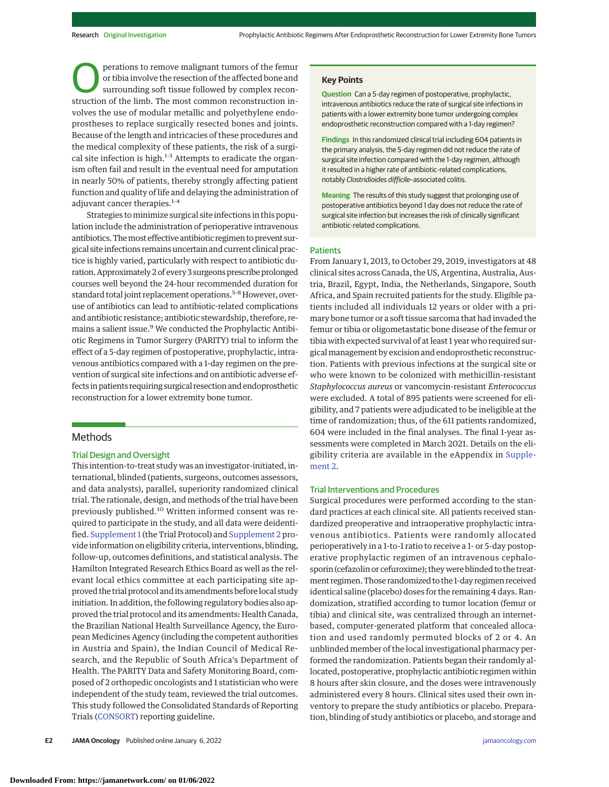perations to remove malignant tumors of the femur or tibia involve the resection of the affected bone and surrounding soft tissue followed by complex reconstruction of the limb. The most common reconstruction involves the use of modular metallic and polyethylene endoprostheses to replace surgically resected bones and joints. Because of the length and intricacies of these procedures and the medical complexity of these patients, the risk of a surgical site infection is high.<sup>1-3</sup> Attempts to eradicate the organism often fail and result in the eventual need for amputation in nearly 50% of patients, thereby strongly affecting patient function and quality of life and delaying the administration of adjuvant cancer therapies.<sup>1-4</sup>

Strategies to minimize surgical site infections in this population include the administration of perioperative intravenous antibiotics.Themost effective antibiotic regimen to prevent surgical site infections remains uncertain and current clinical practice is highly varied, particularly with respect to antibiotic duration. Approximately 2 of every 3 surgeons prescribe prolonged courses well beyond the 24-hour recommended duration for standard total joint replacement operations.<sup>5-8</sup> However, overuse of antibiotics can lead to antibiotic-related complications and antibiotic resistance; antibiotic stewardship, therefore, remains a salient issue.<sup>9</sup> We conducted the Prophylactic Antibiotic Regimens in Tumor Surgery (PARITY) trial to inform the effect of a 5-day regimen of postoperative, prophylactic, intravenous antibiotics compared with a 1-day regimen on the prevention of surgical site infections and on antibiotic adverse effects in patients requiring surgical resection and endoprosthetic reconstruction for a lower extremity bone tumor.

# Methods

# Trial Design and Oversight

This intention-to-treat study was an investigator-initiated, international, blinded (patients, surgeons, outcomes assessors, and data analysts), parallel, superiority randomized clinical trial. The rationale, design, and methods of the trial have been previously published.<sup>10</sup> Written informed consent was required to participate in the study, and all data were deidentified. [Supplement 1](https://jamanetwork.com/journals/jama/fullarticle/10.1001/jamaoncol.2021.6628?utm_campaign=articlePDF%26utm_medium=articlePDFlink%26utm_source=articlePDF%26utm_content=jamaoncol.2021.6628) (the Trial Protocol) and [Supplement 2](https://jamanetwork.com/journals/jama/fullarticle/10.1001/jamaoncol.2021.6628?utm_campaign=articlePDF%26utm_medium=articlePDFlink%26utm_source=articlePDF%26utm_content=jamaoncol.2021.6628) provide information on eligibility criteria, interventions, blinding, follow-up, outcomes definitions, and statistical analysis. The Hamilton Integrated Research Ethics Board as well as the relevant local ethics committee at each participating site approved the trial protocol and its amendments before local study initiation. In addition, the following regulatory bodies also approved the trial protocol and its amendments: Health Canada, the Brazilian National Health Surveillance Agency, the European Medicines Agency (including the competent authorities in Austria and Spain), the Indian Council of Medical Research, and the Republic of South Africa's Department of Health. The PARITY Data and Safety Monitoring Board, composed of 2 orthopedic oncologists and 1 statistician who were independent of the study team, reviewed the trial outcomes. This study followed the Consolidated Standards of Reporting Trials [\(CONSORT\)](https://www.equator-network.org/reporting-guidelines/consort/) reporting guideline.

**Question** Can a 5-day regimen of postoperative, prophylactic, intravenous antibiotics reduce the rate of surgical site infections in patients with a lower extremity bone tumor undergoing complex endoprosthetic reconstruction compared with a 1-day regimen?

**Findings** In this randomized clinical trial including 604 patients in the primary analysis, the 5-day regimen did not reduce the rate of surgical site infection compared with the 1-day regimen, although it resulted in a higher rate of antibiotic-related complications, notably Clostridioides difficile–associated colitis.

**Meaning** The results of this study suggest that prolonging use of postoperative antibiotics beyond 1 day does not reduce the rate of surgical site infection but increases the risk of clinically significant antibiotic-related complications.

#### **Patients**

From January 1, 2013, to October 29, 2019, investigators at 48 clinical sites across Canada, the US, Argentina, Australia, Austria, Brazil, Egypt, India, the Netherlands, Singapore, South Africa, and Spain recruited patients for the study. Eligible patients included all individuals 12 years or older with a primary bone tumor or a soft tissue sarcoma that had invaded the femur or tibia or oligometastatic bone disease of the femur or tibia with expected survival of at least 1 year who required surgical management by excision and endoprosthetic reconstruction. Patients with previous infections at the surgical site or who were known to be colonized with methicillin-resistant *Staphylococcus aureus* or vancomycin-resistant *Enterococcus* were excluded. A total of 895 patients were screened for eligibility, and 7 patients were adjudicated to be ineligible at the time of randomization; thus, of the 611 patients randomized, 604 were included in the final analyses. The final 1-year assessments were completed in March 2021. Details on the eligibility criteria are available in the eAppendix in [Supple](https://jamanetwork.com/journals/jama/fullarticle/10.1001/jamaoncol.2021.6628?utm_campaign=articlePDF%26utm_medium=articlePDFlink%26utm_source=articlePDF%26utm_content=jamaoncol.2021.6628)[ment 2.](https://jamanetwork.com/journals/jama/fullarticle/10.1001/jamaoncol.2021.6628?utm_campaign=articlePDF%26utm_medium=articlePDFlink%26utm_source=articlePDF%26utm_content=jamaoncol.2021.6628)

## Trial Interventions and Procedures

Surgical procedures were performed according to the standard practices at each clinical site. All patients received standardized preoperative and intraoperative prophylactic intravenous antibiotics. Patients were randomly allocated perioperatively in a 1-to-1 ratio to receive a 1- or 5-day postoperative prophylactic regimen of an intravenous cephalosporin (cefazolin or cefuroxime); they were blinded to the treatment regimen. Those randomized to the 1-day regimen received identical saline (placebo) doses for the remaining 4 days. Randomization, stratified according to tumor location (femur or tibia) and clinical site, was centralized through an internetbased, computer-generated platform that concealed allocation and used randomly permuted blocks of 2 or 4. An unblinded member of the local investigational pharmacy performed the randomization. Patients began their randomly allocated, postoperative, prophylactic antibiotic regimen within 8 hours after skin closure, and the doses were intravenously administered every 8 hours. Clinical sites used their own inventory to prepare the study antibiotics or placebo. Preparation, blinding of study antibiotics or placebo, and storage and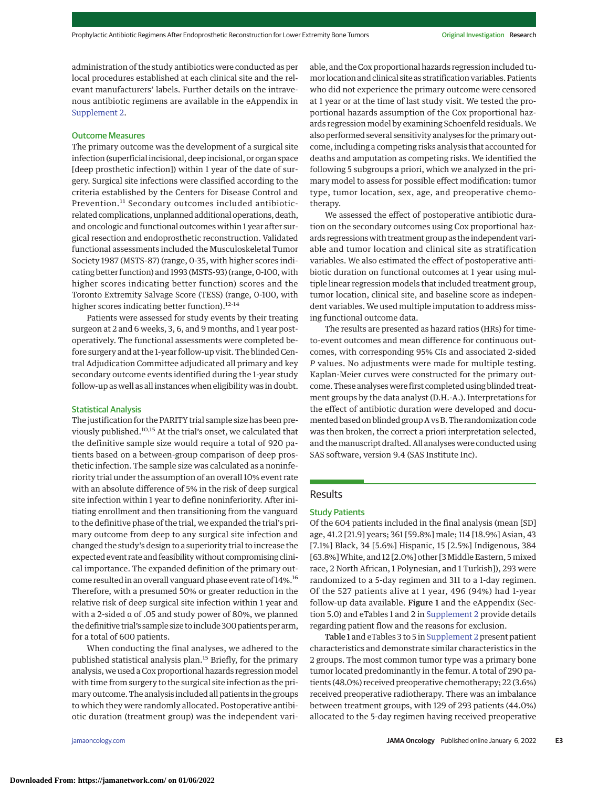administration of the study antibiotics were conducted as per local procedures established at each clinical site and the relevant manufacturers' labels. Further details on the intravenous antibiotic regimens are available in the eAppendix in [Supplement 2.](https://jamanetwork.com/journals/jama/fullarticle/10.1001/jamaoncol.2021.6628?utm_campaign=articlePDF%26utm_medium=articlePDFlink%26utm_source=articlePDF%26utm_content=jamaoncol.2021.6628)

## Outcome Measures

The primary outcome was the development of a surgical site infection (superficial incisional, deep incisional, or organ space [deep prosthetic infection]) within 1 year of the date of surgery. Surgical site infections were classified according to the criteria established by the Centers for Disease Control and Prevention.<sup>11</sup> Secondary outcomes included antibioticrelated complications, unplanned additional operations, death, and oncologic and functional outcomes within 1 year after surgical resection and endoprosthetic reconstruction. Validated functional assessments included the Musculoskeletal Tumor Society 1987 (MSTS-87) (range, 0-35, with higher scores indicating better function) and 1993 (MSTS-93) (range, 0-100, with higher scores indicating better function) scores and the Toronto Extremity Salvage Score (TESS) (range, 0-100, with higher scores indicating better function).<sup>12-14</sup>

Patients were assessed for study events by their treating surgeon at 2 and 6 weeks, 3, 6, and 9 months, and 1 year postoperatively. The functional assessments were completed before surgery and at the 1-year follow-up visit. The blinded Central Adjudication Committee adjudicated all primary and key secondary outcome events identified during the 1-year study follow-up as well as all instances when eligibility was in doubt.

#### Statistical Analysis

The justification for the PARITY trial sample size has been previously published.10,15 At the trial's onset, we calculated that the definitive sample size would require a total of 920 patients based on a between-group comparison of deep prosthetic infection. The sample size was calculated as a noninferiority trial under the assumption of an overall 10% event rate with an absolute difference of 5% in the risk of deep surgical site infection within 1 year to define noninferiority. After initiating enrollment and then transitioning from the vanguard to the definitive phase of the trial, we expanded the trial's primary outcome from deep to any surgical site infection and changed the study's design to a superiority trial to increase the expected event rate and feasibility without compromising clinical importance. The expanded definition of the primary outcome resulted in an overall vanguard phase event rate of 14%.16 Therefore, with a presumed 50% or greater reduction in the relative risk of deep surgical site infection within 1 year and with a 2-sided α of .05 and study power of 80%, we planned the definitive trial's sample size to include 300 patients per arm, for a total of 600 patients.

When conducting the final analyses, we adhered to the published statistical analysis plan.<sup>15</sup> Briefly, for the primary analysis, we used a Cox proportional hazards regression model with time from surgery to the surgical site infection as the primary outcome. The analysis included all patients in the groups to which they were randomly allocated. Postoperative antibiotic duration (treatment group) was the independent vari-

able, and the Cox proportional hazards regression included tumor location and clinical site as stratification variables. Patients who did not experience the primary outcome were censored at 1 year or at the time of last study visit. We tested the proportional hazards assumption of the Cox proportional hazards regression model by examining Schoenfeld residuals.We also performed several sensitivity analyses for the primary outcome, including a competing risks analysis that accounted for deaths and amputation as competing risks. We identified the following 5 subgroups a priori, which we analyzed in the primary model to assess for possible effect modification: tumor type, tumor location, sex, age, and preoperative chemotherapy.

We assessed the effect of postoperative antibiotic duration on the secondary outcomes using Cox proportional hazards regressions with treatment group as the independent variable and tumor location and clinical site as stratification variables. We also estimated the effect of postoperative antibiotic duration on functional outcomes at 1 year using multiple linear regression models that included treatment group, tumor location, clinical site, and baseline score as independent variables. We used multiple imputation to address missing functional outcome data.

The results are presented as hazard ratios (HRs) for timeto-event outcomes and mean difference for continuous outcomes, with corresponding 95% CIs and associated 2-sided *P* values. No adjustments were made for multiple testing. Kaplan-Meier curves were constructed for the primary outcome. These analyses were first completed using blinded treatment groups by the data analyst (D.H.-A.). Interpretations for the effect of antibiotic duration were developed and documented based on blinded group A vs B. The randomization code was then broken, the correct a priori interpretation selected, and the manuscript drafted. All analyses were conducted using SAS software, version 9.4 (SAS Institute Inc).

# Results

# Study Patients

Of the 604 patients included in the final analysis (mean [SD] age, 41.2 [21.9] years; 361 [59.8%] male; 114 [18.9%] Asian, 43 [7.1%] Black, 34 [5.6%] Hispanic, 15 [2.5%] Indigenous, 384 [63.8%]White, and 12 [2.0%] other [3 Middle Eastern, 5 mixed race, 2 North African, 1 Polynesian, and 1 Turkish]), 293 were randomized to a 5-day regimen and 311 to a 1-day regimen. Of the 527 patients alive at 1 year, 496 (94%) had 1-year follow-up data available. Figure 1 and the eAppendix (Section 5.0) and eTables 1 and 2 in [Supplement 2](https://jamanetwork.com/journals/jama/fullarticle/10.1001/jamaoncol.2021.6628?utm_campaign=articlePDF%26utm_medium=articlePDFlink%26utm_source=articlePDF%26utm_content=jamaoncol.2021.6628) provide details regarding patient flow and the reasons for exclusion.

Table 1 and eTables 3 to 5 in [Supplement 2](https://jamanetwork.com/journals/jama/fullarticle/10.1001/jamaoncol.2021.6628?utm_campaign=articlePDF%26utm_medium=articlePDFlink%26utm_source=articlePDF%26utm_content=jamaoncol.2021.6628) present patient characteristics and demonstrate similar characteristics in the 2 groups. The most common tumor type was a primary bone tumor located predominantly in the femur. A total of 290 patients (48.0%) received preoperative chemotherapy; 22 (3.6%) received preoperative radiotherapy. There was an imbalance between treatment groups, with 129 of 293 patients (44.0%) allocated to the 5-day regimen having received preoperative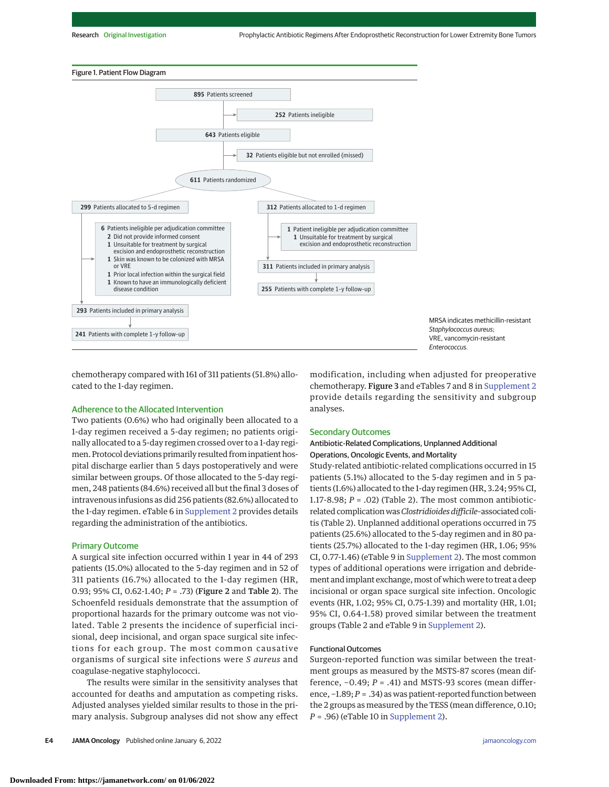Research Original Investigation Prophylactic Antibiotic Regimens After Endoprosthetic Reconstruction for Lower Extremity Bone Tumors



chemotherapy compared with 161 of 311 patients (51.8%) allocated to the 1-day regimen.

## Adherence to the Allocated Intervention

Two patients (0.6%) who had originally been allocated to a 1-day regimen received a 5-day regimen; no patients originally allocated to a 5-day regimen crossed over to a 1-day regimen. Protocol deviations primarily resulted from inpatient hospital discharge earlier than 5 days postoperatively and were similar between groups. Of those allocated to the 5-day regimen, 248 patients (84.6%) received all but the final 3 doses of intravenous infusions as did 256 patients (82.6%) allocated to the 1-day regimen. eTable 6 in [Supplement 2](https://jamanetwork.com/journals/jama/fullarticle/10.1001/jamaoncol.2021.6628?utm_campaign=articlePDF%26utm_medium=articlePDFlink%26utm_source=articlePDF%26utm_content=jamaoncol.2021.6628) provides details regarding the administration of the antibiotics.

#### Primary Outcome

A surgical site infection occurred within 1 year in 44 of 293 patients (15.0%) allocated to the 5-day regimen and in 52 of 311 patients (16.7%) allocated to the 1-day regimen (HR, 0.93; 95% CI, 0.62-1.40; *P* = .73) (Figure 2 and Table 2). The Schoenfeld residuals demonstrate that the assumption of proportional hazards for the primary outcome was not violated. Table 2 presents the incidence of superficial incisional, deep incisional, and organ space surgical site infections for each group. The most common causative organisms of surgical site infections were *S aureus* and coagulase-negative staphylococci.

The results were similar in the sensitivity analyses that accounted for deaths and amputation as competing risks. Adjusted analyses yielded similar results to those in the primary analysis. Subgroup analyses did not show any effect

**E4 JAMA Oncology** Published online January 6, 2022 **(Reprinted)** [jamaoncology.com](http://www.jamaoncology.com?utm_campaign=articlePDF%26utm_medium=articlePDFlink%26utm_source=articlePDF%26utm_content=jamaoncol.2021.6628)

modification, including when adjusted for preoperative chemotherapy. Figure 3 and eTables 7 and 8 in [Supplement 2](https://jamanetwork.com/journals/jama/fullarticle/10.1001/jamaoncol.2021.6628?utm_campaign=articlePDF%26utm_medium=articlePDFlink%26utm_source=articlePDF%26utm_content=jamaoncol.2021.6628) provide details regarding the sensitivity and subgroup analyses.

#### Secondary Outcomes

# Antibiotic-Related Complications, Unplanned Additional Operations, Oncologic Events, and Mortality

Study-related antibiotic-related complications occurred in 15 patients (5.1%) allocated to the 5-day regimen and in 5 patients (1.6%) allocated to the 1-day regimen (HR, 3.24; 95% CI, 1.17-8.98; *P* = .02) (Table 2). The most common antibioticrelated complicationwas*Clostridioides difficile*–associated colitis (Table 2). Unplanned additional operations occurred in 75 patients (25.6%) allocated to the 5-day regimen and in 80 patients (25.7%) allocated to the 1-day regimen (HR, 1.06; 95% CI, 0.77-1.46) (eTable 9 in [Supplement 2\)](https://jamanetwork.com/journals/jama/fullarticle/10.1001/jamaoncol.2021.6628?utm_campaign=articlePDF%26utm_medium=articlePDFlink%26utm_source=articlePDF%26utm_content=jamaoncol.2021.6628). The most common types of additional operations were irrigation and debridement and implant exchange, most of which were to treat a deep incisional or organ space surgical site infection. Oncologic events (HR, 1.02; 95% CI, 0.75-1.39) and mortality (HR, 1.01; 95% CI, 0.64-1.58) proved similar between the treatment groups (Table 2 and eTable 9 in [Supplement 2\)](https://jamanetwork.com/journals/jama/fullarticle/10.1001/jamaoncol.2021.6628?utm_campaign=articlePDF%26utm_medium=articlePDFlink%26utm_source=articlePDF%26utm_content=jamaoncol.2021.6628).

## Functional Outcomes

Surgeon-reported function was similar between the treatment groups as measured by the MSTS-87 scores (mean difference, −0.49; *P* = .41) and MSTS-93 scores (mean difference, −1.89; *P* = .34) as was patient-reported function between the 2 groups as measured by the TESS (mean difference, 0.10; *P* = .96) (eTable 10 in [Supplement 2\)](https://jamanetwork.com/journals/jama/fullarticle/10.1001/jamaoncol.2021.6628?utm_campaign=articlePDF%26utm_medium=articlePDFlink%26utm_source=articlePDF%26utm_content=jamaoncol.2021.6628).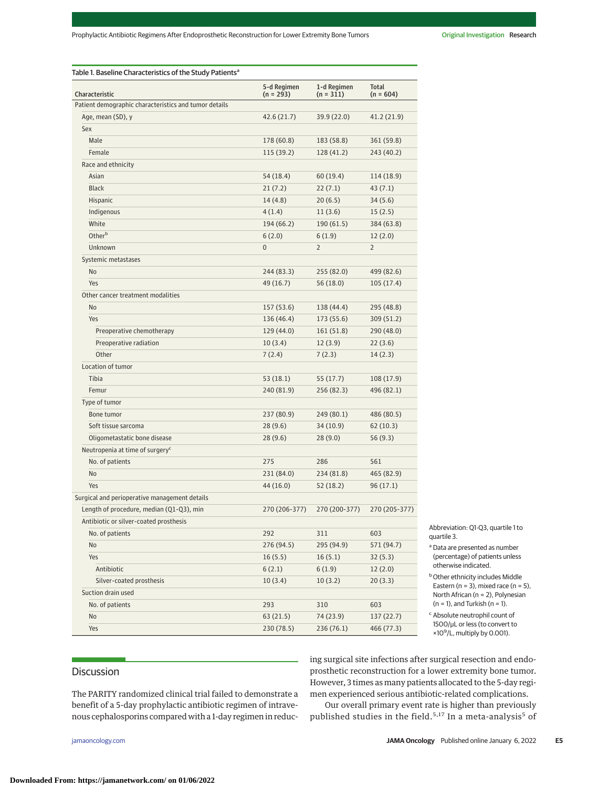| Characteristic                                        | 5-d Regimen<br>$(n = 293)$ | 1-d Regimen<br>$(n = 311)$ | <b>Total</b><br>$(n = 604)$ |
|-------------------------------------------------------|----------------------------|----------------------------|-----------------------------|
| Patient demographic characteristics and tumor details |                            |                            |                             |
| Age, mean (SD), y                                     | 42.6 (21.7)                | 39.9 (22.0)                | 41.2 (21.9)                 |
| Sex                                                   |                            |                            |                             |
| Male                                                  | 178 (60.8)                 | 183 (58.8)                 | 361 (59.8)                  |
| Female                                                | 115(39.2)                  | 128 (41.2)                 | 243 (40.2)                  |
| Race and ethnicity                                    |                            |                            |                             |
| Asian                                                 | 54 (18.4)                  | 60 (19.4)                  | 114 (18.9)                  |
| Black                                                 | 21(7.2)                    | 22(7.1)                    | 43(7.1)                     |
| Hispanic                                              | 14 (4.8)                   | 20(6.5)                    | 34(5.6)                     |
| Indigenous                                            | 4(1.4)                     | 11(3.6)                    | 15(2.5)                     |
| White                                                 | 194 (66.2)                 | 190 (61.5)                 | 384 (63.8)                  |
| Otherb                                                | 6(2.0)                     | 6(1.9)                     | 12(2.0)                     |
| Unknown                                               | $\bf{0}$                   | $\overline{2}$             | $\overline{2}$              |
| Systemic metastases                                   |                            |                            |                             |
| No                                                    | 244 (83.3)                 | 255 (82.0)                 | 499 (82.6)                  |
| Yes                                                   | 49 (16.7)                  | 56 (18.0)                  | 105(17.4)                   |
| Other cancer treatment modalities                     |                            |                            |                             |
| No                                                    | 157 (53.6)                 | 138 (44.4)                 | 295 (48.8)                  |
| Yes                                                   | 136 (46.4)                 | 173 (55.6)                 | 309 (51.2)                  |
| Preoperative chemotherapy                             | 129 (44.0)                 | 161 (51.8)                 | 290 (48.0)                  |
| Preoperative radiation                                | 10(3.4)                    | 12(3.9)                    | 22(3.6)                     |
| Other                                                 | 7(2.4)                     | 7(2.3)                     | 14(2.3)                     |
| Location of tumor                                     |                            |                            |                             |
| Tibia                                                 | 53(18.1)                   | 55 (17.7)                  | 108 (17.9)                  |
| Femur                                                 | 240 (81.9)                 | 256 (82.3)                 | 496 (82.1)                  |
| Type of tumor                                         |                            |                            |                             |
| Bone tumor                                            | 237 (80.9)                 | 249 (80.1)                 | 486 (80.5)                  |
| Soft tissue sarcoma                                   | 28(9.6)                    | 34 (10.9)                  | 62(10.3)                    |
| Oligometastatic bone disease                          | 28(9.6)                    | 28(9.0)                    | 56 (9.3)                    |
| Neutropenia at time of surgery <sup>c</sup>           |                            |                            |                             |
| No. of patients                                       | 275                        | 286                        | 561                         |
| No                                                    | 231 (84.0)                 | 234 (81.8)                 | 465 (82.9)                  |
| Yes                                                   | 44 (16.0)                  | 52 (18.2)                  | 96(17.1)                    |
| Surgical and perioperative management details         |                            |                            |                             |
| Length of procedure, median (Q1-Q3), min              | 270 (206-377)              | 270 (200-377)              | 270 (205-377)               |
| Antibiotic or silver-coated prosthesis                |                            |                            |                             |
| No. of patients                                       | 292                        | 311                        | 603                         |
| No                                                    | 276 (94.5)                 | 295 (94.9)                 | 571 (94.7)                  |
| Yes                                                   | 16(5.5)                    | 16(5.1)                    | 32(5.3)                     |
| Antibiotic                                            | 6(2.1)                     | 6(1.9)                     | 12(2.0)                     |
| Silver-coated prosthesis                              | 10(3.4)                    | 10(3.2)                    | 20(3.3)                     |
| Suction drain used                                    |                            |                            |                             |
| No. of patients                                       | 293                        | 310                        | 603                         |
| No                                                    | 63 (21.5)                  | 74 (23.9)                  | 137 (22.7)                  |
| Yes                                                   | 230 (78.5)                 | 236(76.1)                  | 466 (77.3)                  |

Abbreviation: Q1-Q3, quartile 1 to quartile 3.

1500/μL or less (to convert to ×10<sup>9</sup>/L, multiply by 0.001).

# **Discussion**

The PARITY randomized clinical trial failed to demonstrate a benefit of a 5-day prophylactic antibiotic regimen of intravenous cephalosporins compared with a 1-day regimen in reduc-

ing surgical site infections after surgical resection and endoprosthetic reconstruction for a lower extremity bone tumor. However, 3 times as many patients allocated to the 5-day regimen experienced serious antibiotic-related complications.

Our overall primary event rate is higher than previously published studies in the field.<sup>5,17</sup> In a meta-analysis<sup>5</sup> of

<sup>a</sup> Data are presented as number (percentage) of patients unless otherwise indicated.

**b** Other ethnicity includes Middle Eastern ( $n = 3$ ), mixed race ( $n = 5$ ), North African (n = 2), Polynesian  $(n = 1)$ , and Turkish  $(n = 1)$ . <sup>c</sup> Absolute neutrophil count of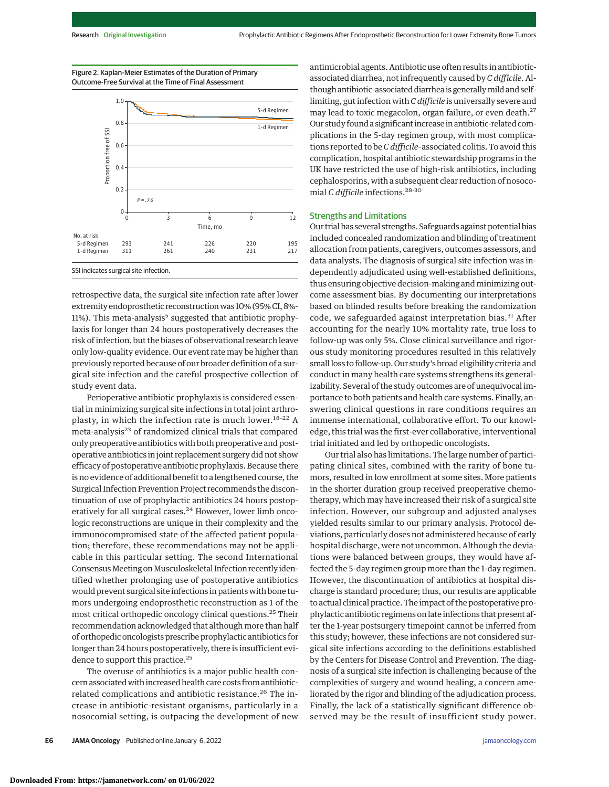Figure 2. Kaplan-Meier Estimates of the Duration of Primary Outcome-Free Survival at the Time of Final Assessment



retrospective data, the surgical site infection rate after lower extremity endoprosthetic reconstruction was 10% (95% CI, 8%-11%). This meta-analysis<sup>5</sup> suggested that antibiotic prophylaxis for longer than 24 hours postoperatively decreases the risk of infection, but the biases of observational research leave only low-quality evidence. Our event rate may be higher than previously reported because of our broader definition of a surgical site infection and the careful prospective collection of study event data.

Perioperative antibiotic prophylaxis is considered essential in minimizing surgical site infections in total joint arthroplasty, in which the infection rate is much lower.<sup>18-22</sup> A meta-analysis<sup>23</sup> of randomized clinical trials that compared only preoperative antibiotics with both preoperative and postoperative antibiotics in joint replacement surgery did not show efficacy of postoperative antibiotic prophylaxis. Because there is no evidence of additional benefit to a lengthened course, the Surgical Infection Prevention Project recommends the discontinuation of use of prophylactic antibiotics 24 hours postoperatively for all surgical cases. $24$  However, lower limb oncologic reconstructions are unique in their complexity and the immunocompromised state of the affected patient population; therefore, these recommendations may not be applicable in this particular setting. The second International Consensus Meeting on Musculoskeletal Infection recently identified whether prolonging use of postoperative antibiotics would prevent surgical site infections in patients with bone tumors undergoing endoprosthetic reconstruction as 1 of the most critical orthopedic oncology clinical questions.25 Their recommendation acknowledged that although more than half of orthopedic oncologists prescribe prophylactic antibiotics for longer than 24 hours postoperatively, there is insufficient evidence to support this practice.<sup>25</sup>

The overuse of antibiotics is a major public health concern associated with increased health care costs from antibioticrelated complications and antibiotic resistance.<sup>26</sup> The increase in antibiotic-resistant organisms, particularly in a nosocomial setting, is outpacing the development of new antimicrobial agents. Antibiotic use often results in antibioticassociated diarrhea, not infrequently caused by *C difficile*. Although antibiotic-associated diarrhea is generallymild and selflimiting, gut infection with *C difficile* is universally severe and may lead to toxic megacolon, organ failure, or even death.<sup>27</sup> Our study found a significant increase in antibiotic-related complications in the 5-day regimen group, with most complications reported to be *C difficile*–associated colitis. To avoid this complication, hospital antibiotic stewardship programs in the UK have restricted the use of high-risk antibiotics, including cephalosporins, with a subsequent clear reduction of nosocomial *C difficile* infections.28-30

#### Strengths and Limitations

Our trial has several strengths. Safeguards against potential bias included concealed randomization and blinding of treatment allocation from patients, caregivers, outcomes assessors, and data analysts. The diagnosis of surgical site infection was independently adjudicated using well-established definitions, thus ensuring objective decision-making and minimizing outcome assessment bias. By documenting our interpretations based on blinded results before breaking the randomization code, we safeguarded against interpretation bias.<sup>31</sup> After accounting for the nearly 10% mortality rate, true loss to follow-up was only 5%. Close clinical surveillance and rigorous study monitoring procedures resulted in this relatively small loss to follow-up. Our study's broad eligibility criteria and conduct in many health care systems strengthens its generalizability. Several of the study outcomes are of unequivocal importance to both patients and health care systems. Finally, answering clinical questions in rare conditions requires an immense international, collaborative effort. To our knowledge, this trial was the first-ever collaborative, interventional trial initiated and led by orthopedic oncologists.

Our trial also has limitations. The large number of participating clinical sites, combined with the rarity of bone tumors, resulted in low enrollment at some sites. More patients in the shorter duration group received preoperative chemotherapy, which may have increased their risk of a surgical site infection. However, our subgroup and adjusted analyses yielded results similar to our primary analysis. Protocol deviations, particularly doses not administered because of early hospital discharge, were not uncommon. Although the deviations were balanced between groups, they would have affected the 5-day regimen group more than the 1-day regimen. However, the discontinuation of antibiotics at hospital discharge is standard procedure; thus, our results are applicable to actual clinical practice. The impact of the postoperative prophylactic antibiotic regimens on late infections that present after the 1-year postsurgery timepoint cannot be inferred from this study; however, these infections are not considered surgical site infections according to the definitions established by the Centers for Disease Control and Prevention. The diagnosis of a surgical site infection is challenging because of the complexities of surgery and wound healing, a concern ameliorated by the rigor and blinding of the adjudication process. Finally, the lack of a statistically significant difference observed may be the result of insufficient study power.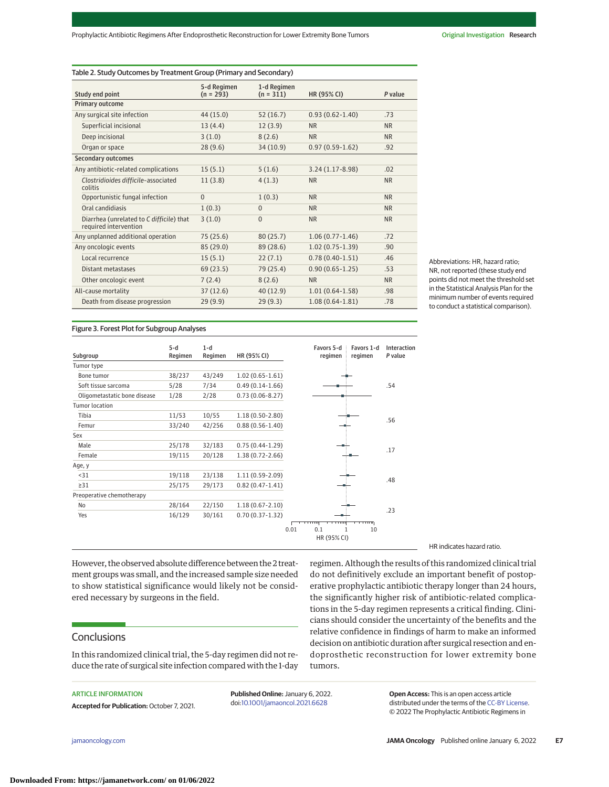| Study end point                                                   | 5-d Regimen<br>$(n = 293)$ | 1-d Regimen<br>$(n = 311)$ | HR (95% CI)         | P value   |
|-------------------------------------------------------------------|----------------------------|----------------------------|---------------------|-----------|
| <b>Primary outcome</b>                                            |                            |                            |                     |           |
| Any surgical site infection                                       | 44 (15.0)                  | 52(16.7)                   | $0.93(0.62 - 1.40)$ | .73       |
| Superficial incisional                                            | 13(4.4)                    | 12(3.9)                    | <b>NR</b>           | <b>NR</b> |
| Deep incisional                                                   | 3(1.0)                     | 8(2.6)                     | <b>NR</b>           | <b>NR</b> |
| Organ or space                                                    | 28(9.6)                    | 34(10.9)                   | $0.97(0.59-1.62)$   | .92       |
| <b>Secondary outcomes</b>                                         |                            |                            |                     |           |
| Any antibiotic-related complications                              | 15(5.1)                    | 5(1.6)                     | $3.24(1.17-8.98)$   | .02       |
| Clostridioides difficile-associated<br>colitis                    | 11(3.8)                    | 4(1.3)                     | <b>NR</b>           | <b>NR</b> |
| Opportunistic fungal infection                                    | $\Omega$                   | 1(0.3)                     | <b>NR</b>           | <b>NR</b> |
| Oral candidiasis                                                  | 1(0.3)                     | $\Omega$                   | <b>NR</b>           | <b>NR</b> |
| Diarrhea (unrelated to C difficile) that<br>required intervention | 3(1.0)                     | $\Omega$                   | <b>NR</b>           | <b>NR</b> |
| Any unplanned additional operation                                | 75 (25.6)                  | 80(25.7)                   | $1.06(0.77-1.46)$   | .72       |
| Any oncologic events                                              | 85(29.0)                   | 89 (28.6)                  | $1.02(0.75-1.39)$   | .90       |
| Local recurrence                                                  | 15(5.1)                    | 22(7.1)                    | $0.78(0.40-1.51)$   | .46       |
| Distant metastases                                                | 69(23.5)                   | 79 (25.4)                  | $0.90(0.65-1.25)$   | .53       |
| Other oncologic event                                             | 7(2.4)                     | 8(2.6)                     | <b>NR</b>           | <b>NR</b> |
| All-cause mortality                                               | 37(12.6)                   | 40(12.9)                   | $1.01(0.64-1.58)$   | .98       |
| Death from disease progression                                    | 29(9.9)                    | 29(9.3)                    | $1.08(0.64-1.81)$   | .78       |

Abbreviations: HR, hazard ratio; NR, not reported (these study end points did not meet the threshold set in the Statistical Analysis Plan for the minimum number of events required to conduct a statistical comparison).

# Figure 3. Forest Plot for Subgroup Analyses

|                              | $5-d$   | $1-d$   |                     |      |             | Favors 5-d |
|------------------------------|---------|---------|---------------------|------|-------------|------------|
| Subgroup                     | Regimen | Regimen | HR (95% CI)         |      |             | regimen    |
| Tumor type                   |         |         |                     |      |             |            |
| Bone tumor                   | 38/237  | 43/249  | $1.02(0.65 - 1.61)$ |      |             |            |
| Soft tissue sarcoma          | 5/28    | 7/34    | $0.49(0.14 - 1.66)$ |      |             |            |
| Oligometastatic bone disease | 1/28    | 2/28    | $0.73(0.06 - 8.27)$ |      |             |            |
| <b>Tumor location</b>        |         |         |                     |      |             |            |
| Tibia                        | 11/53   | 10/55   | $1.18(0.50-2.80)$   |      |             |            |
| Femur                        | 33/240  | 42/256  | $0.88(0.56 - 1.40)$ |      |             |            |
| Sex                          |         |         |                     |      |             |            |
| Male                         | 25/178  | 32/183  | $0.75(0.44-1.29)$   |      |             |            |
| Female                       | 19/115  | 20/128  | $1.38(0.72 - 2.66)$ |      |             |            |
| Age, y                       |         |         |                     |      |             |            |
| < 31                         | 19/118  | 23/138  | $1.11(0.59-2.09)$   |      |             |            |
| $\geq$ 31                    | 25/175  | 29/173  | $0.82(0.47 - 1.41)$ |      |             |            |
| Preoperative chemotherapy    |         |         |                     |      |             |            |
| No                           | 28/164  | 22/150  | $1.18(0.67 - 2.10)$ |      |             |            |
| Yes                          | 16/129  | 30/161  | $0.70(0.37 - 1.32)$ |      |             |            |
|                              |         |         |                     | 0.01 | 0.1         | ┯┯┯┯       |
|                              |         |         |                     |      | HR (95% CI) | 1          |
|                              |         |         |                     |      |             |            |

However, the observed absolute difference between the 2 treatment groups was small, and the increased sample size needed to show statistical significance would likely not be considered necessary by surgeons in the field.

# **Conclusions**

In this randomized clinical trial, the 5-day regimen did not reduce the rate of surgical site infection compared with the 1-day

# ARTICLE INFORMATION

**Accepted for Publication:** October 7, 2021.

**Published Online:** January 6, 2022. doi[:10.1001/jamaoncol.2021.6628](https://jamanetwork.com/journals/jama/fullarticle/10.1001/jamaoncol.2021.6628?utm_campaign=articlePDF%26utm_medium=articlePDFlink%26utm_source=articlePDF%26utm_content=jamaoncol.2021.6628)

HR indicates hazard ratio.

regimen. Although the results of this randomized clinical trial do not definitively exclude an important benefit of postoperative prophylactic antibiotic therapy longer than 24 hours, the significantly higher risk of antibiotic-related complications in the 5-day regimen represents a critical finding. Clinicians should consider the uncertainty of the benefits and the relative confidence in findings of harm to make an informed decision on antibiotic duration after surgical resection and endoprosthetic reconstruction for lower extremity bone tumors.

> **Open Access:** This is an open access article distributed under the terms of the [CC-BY License.](https://jamanetwork.com/pages/cc-by-license-permissions?utm_campaign=articlePDF%26utm_medium=articlePDFlink%26utm_source=articlePDF%26utm_content=jamaoncol.2021.6628) © 2022 The Prophylactic Antibiotic Regimens in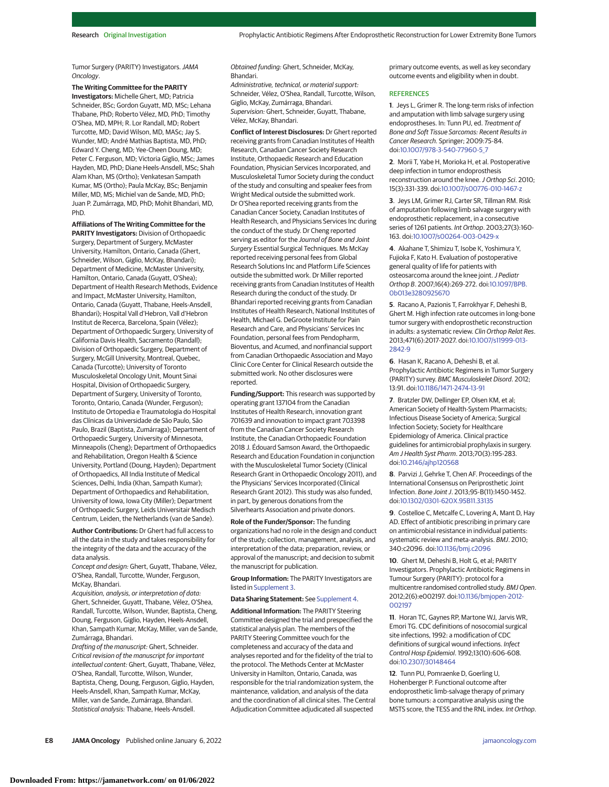Tumor Surgery (PARITY) Investigators. JAMA Oncology.

**The Writing Committee for the PARITY Investigators:** Michelle Ghert, MD; Patricia Schneider, BSc; Gordon Guyatt, MD, MSc; Lehana Thabane, PhD; Roberto Vélez, MD, PhD; Timothy O'Shea, MD, MPH; R. Lor Randall, MD; Robert Turcotte, MD; David Wilson, MD, MASc; Jay S. Wunder, MD; André Mathias Baptista, MD, PhD; Edward Y. Cheng, MD; Yee-Cheen Doung, MD; Peter C. Ferguson, MD; Victoria Giglio, MSc; James Hayden, MD, PhD; Diane Heels-Ansdell, MSc; Shah Alam Khan, MS (Ortho); Venkatesan Sampath Kumar, MS (Ortho); Paula McKay, BSc; Benjamin Miller, MD, MS; Michiel van de Sande, MD, PhD; Juan P. Zumárraga, MD, PhD; Mohit Bhandari, MD, PhD.

**Affiliations of The Writing Committee for the PARITY Investigators:** Division of Orthopaedic Surgery, Department of Surgery, McMaster University, Hamilton, Ontario, Canada (Ghert, Schneider, Wilson, Giglio, McKay, Bhandari); Department of Medicine, McMaster University, Hamilton, Ontario, Canada (Guyatt, O'Shea); Department of Health Research Methods, Evidence and Impact, McMaster University, Hamilton, Ontario, Canada (Guyatt, Thabane, Heels-Ansdell, Bhandari); Hospital Vall d'Hebron, Vall d'Hebron Institut de Recerca, Barcelona, Spain (Vélez); Department of Orthopaedic Surgery, University of California Davis Health, Sacramento (Randall); Division of Orthopaedic Surgery, Department of Surgery, McGill University, Montreal, Quebec, Canada (Turcotte); University of Toronto Musculoskeletal Oncology Unit, Mount Sinai Hospital, Division of Orthopaedic Surgery, Department of Surgery, University of Toronto, Toronto, Ontario, Canada (Wunder, Ferguson); Instituto de Ortopedia e Traumatologia do Hospital das Clínicas da Universidade de São Paulo, São Paulo, Brazil (Baptista, Zumárraga); Department of Orthopaedic Surgery, University of Minnesota, Minneapolis (Cheng); Department of Orthopaedics and Rehabilitation, Oregon Health & Science University, Portland (Doung, Hayden); Department of Orthopaedics, All India Institute of Medical Sciences, Delhi, India (Khan, Sampath Kumar); Department of Orthopaedics and Rehabilitation, University of Iowa, Iowa City (Miller); Department of Orthopaedic Surgery, Leids Universitair Medisch Centrum, Leiden, the Netherlands (van de Sande).

**Author Contributions:** Dr Ghert had full access to all the data in the study and takes responsibility for the integrity of the data and the accuracy of the data analysis.

Concept and design: Ghert, Guyatt, Thabane, Vélez, O'Shea, Randall, Turcotte, Wunder, Ferguson, McKay, Bhandari.

Acquisition, analysis, or interpretation of data: Ghert, Schneider, Guyatt, Thabane, Vélez, O'Shea, Randall, Turcotte, Wilson, Wunder, Baptista, Cheng, Doung, Ferguson, Giglio, Hayden, Heels-Ansdell, Khan, Sampath Kumar, McKay, Miller, van de Sande, Zumárraga, Bhandari.

Drafting of the manuscript: Ghert, Schneider. Critical revision of the manuscript for important intellectual content: Ghert, Guyatt, Thabane, Vélez, O'Shea, Randall, Turcotte, Wilson, Wunder, Baptista, Cheng, Doung, Ferguson, Giglio, Hayden, Heels-Ansdell, Khan, Sampath Kumar, McKay, Miller, van de Sande, Zumárraga, Bhandari. Statistical analysis: Thabane, Heels-Ansdell.

Obtained funding: Ghert, Schneider, McKay, Bhandari.

Administrative, technical, or material support: Schneider, Vélez, O'Shea, Randall, Turcotte, Wilson, Giglio, McKay, Zumárraga, Bhandari. Supervision: Ghert, Schneider, Guyatt, Thabane, Vélez, McKay, Bhandari.

**Conflict of Interest Disclosures:** Dr Ghert reported receiving grants from Canadian Institutes of Health Research, Canadian Cancer Society Research Institute, Orthopaedic Research and Education Foundation, Physician Services Incorporated, and Musculoskeletal Tumor Society during the conduct of the study and consulting and speaker fees from Wright Medical outside the submitted work. Dr O'Shea reported receiving grants from the Canadian Cancer Society, Canadian Institutes of Health Research, and Physicians Services Inc during the conduct of the study. Dr Cheng reported serving as editor for the Journal of Bone and Joint Surgery Essential Surgical Techniques. Ms McKay reported receiving personal fees from Global Research Solutions Inc and Platform Life Sciences outside the submitted work. Dr Miller reported receiving grants from Canadian Institutes of Health Research during the conduct of the study. Dr Bhandari reported receiving grants from Canadian Institutes of Health Research, National Institutes of Health, Michael G. DeGroote Institute for Pain Research and Care, and Physicians' Services Inc Foundation, personal fees from Pendopharm, Bioventus, and Acumed, and nonfinancial support from Canadian Orthopaedic Association and Mayo Clinic Core Center for Clinical Research outside the submitted work. No other disclosures were reported.

**Funding/Support:** This research was supported by operating grant 137104 from the Canadian Institutes of Health Research, innovation grant 701639 and innovation to impact grant 703398 from the Canadian Cancer Society Research Institute, the Canadian Orthopaedic Foundation 2018 J. Édouard Samson Award, the Orthopaedic Research and Education Foundation in conjunction with the Musculoskeletal Tumor Society (Clinical Research Grant in Orthopaedic Oncology 2011), and the Physicians' Services Incorporated (Clinical Research Grant 2012). This study was also funded, in part, by generous donations from the Silverhearts Association and private donors.

**Role of the Funder/Sponsor:** The funding organizations had no role in the design and conduct of the study; collection, management, analysis, and interpretation of the data; preparation, review, or approval of the manuscript; and decision to submit the manuscript for publication.

**Group Information:** The PARITY Investigators are listed in [Supplement 3.](https://jamanetwork.com/journals/jama/fullarticle/10.1001/jamaoncol.2021.6628?utm_campaign=articlePDF%26utm_medium=articlePDFlink%26utm_source=articlePDF%26utm_content=jamaoncol.2021.6628)

#### **Data Sharing Statement:** See [Supplement 4.](https://jamanetwork.com/journals/jama/fullarticle/10.1001/jamaoncol.2021.6628?utm_campaign=articlePDF%26utm_medium=articlePDFlink%26utm_source=articlePDF%26utm_content=jamaoncol.2021.6628)

**Additional Information:** The PARITY Steering Committee designed the trial and prespecified the statistical analysis plan. The members of the PARITY Steering Committee vouch for the completeness and accuracy of the data and analyses reported and for the fidelity of the trial to the protocol. The Methods Center at McMaster University in Hamilton, Ontario, Canada, was responsible for the trial randomization system, the maintenance, validation, and analysis of the data and the coordination of all clinical sites. The Central Adjudication Committee adjudicated all suspected

primary outcome events, as well as key secondary outcome events and eligibility when in doubt.

#### **REFERENCES**

**1**. Jeys L, Grimer R. The long-term risks of infection and amputation with limb salvage surgery using endoprostheses. In: Tunn PU, ed. Treatment of Bone and Soft Tissue Sarcomas: Recent Results in Cancer Research. Springer; 2009:75-84. doi[:10.1007/978-3-540-77960-5\\_7](https://dx.doi.org/10.1007/978-3-540-77960-5_7)

**2**. Morii T, Yabe H, Morioka H, et al. Postoperative deep infection in tumor endoprosthesis reconstruction around the knee. J Orthop Sci. 2010; 15(3):331-339. doi[:10.1007/s00776-010-1467-z](https://dx.doi.org/10.1007/s00776-010-1467-z)

**3**. Jeys LM, Grimer RJ, Carter SR, Tillman RM. Risk of amputation following limb salvage surgery with endoprosthetic replacement, in a consecutive series of 1261 patients. Int Orthop. 2003;27(3):160- 163. doi[:10.1007/s00264-003-0429-x](https://dx.doi.org/10.1007/s00264-003-0429-x)

**4**. Akahane T, Shimizu T, Isobe K, Yoshimura Y, Fujioka F, Kato H. Evaluation of postoperative general quality of life for patients with osteosarcoma around the knee joint. J Pediatr Orthop B. 2007;16(4):269-272. doi[:10.1097/BPB.](https://dx.doi.org/10.1097/BPB.0b013e3280925670) [0b013e3280925670](https://dx.doi.org/10.1097/BPB.0b013e3280925670)

**5**. Racano A, Pazionis T, Farrokhyar F, Deheshi B, Ghert M. High infection rate outcomes in long-bone tumor surgery with endoprosthetic reconstruction in adults: a systematic review. Clin Orthop Relat Res. 2013;471(6):2017-2027. doi[:10.1007/s11999-013-](https://dx.doi.org/10.1007/s11999-013-2842-9) [2842-9](https://dx.doi.org/10.1007/s11999-013-2842-9)

**6**. Hasan K, Racano A, Deheshi B, et al. Prophylactic Antibiotic Regimens in Tumor Surgery (PARITY) survey. BMC Musculoskelet Disord. 2012; 13:91. doi[:10.1186/1471-2474-13-91](https://dx.doi.org/10.1186/1471-2474-13-91)

**7**. Bratzler DW, Dellinger EP, Olsen KM, et al; American Society of Health-System Pharmacists; Infectious Disease Society of America; Surgical Infection Society; Society for Healthcare Epidemiology of America. Clinical practice guidelines for antimicrobial prophylaxis in surgery. Am J Health Syst Pharm. 2013;70(3):195-283. doi[:10.2146/ajhp120568](https://dx.doi.org/10.2146/ajhp120568)

**8**. Parvizi J, Gehrke T, Chen AF. Proceedings of the International Consensus on Periprosthetic Joint Infection. Bone Joint J. 2013;95-B(11):1450-1452. doi[:10.1302/0301-620X.95B11.33135](https://dx.doi.org/10.1302/0301-620X.95B11.33135)

**9**. Costelloe C, Metcalfe C, Lovering A, Mant D, Hay AD. Effect of antibiotic prescribing in primary care on antimicrobial resistance in individual patients: systematic review and meta-analysis. BMJ. 2010; 340:c2096. doi[:10.1136/bmj.c2096](https://dx.doi.org/10.1136/bmj.c2096)

**10**. Ghert M, Deheshi B, Holt G, et al; PARITY Investigators. Prophylactic Antibiotic Regimens in Tumour Surgery (PARITY): protocol for a multicentre randomised controlled study. BMJ Open. 2012;2(6):e002197. doi[:10.1136/bmjopen-2012-](https://dx.doi.org/10.1136/bmjopen-2012-002197) [002197](https://dx.doi.org/10.1136/bmjopen-2012-002197)

**11**. Horan TC, Gaynes RP, Martone WJ, Jarvis WR, Emori TG. CDC definitions of nosocomial surgical site infections, 1992: a modification of CDC definitions of surgical wound infections. Infect Control Hosp Epidemiol. 1992;13(10):606-608. doi[:10.2307/30148464](https://dx.doi.org/10.2307/30148464)

**12**. Tunn PU, Pomraenke D, Goerling U, Hohenberger P. Functional outcome after endoprosthetic limb-salvage therapy of primary bone tumours: a comparative analysis using the MSTS score, the TESS and the RNL index. Int Orthop.